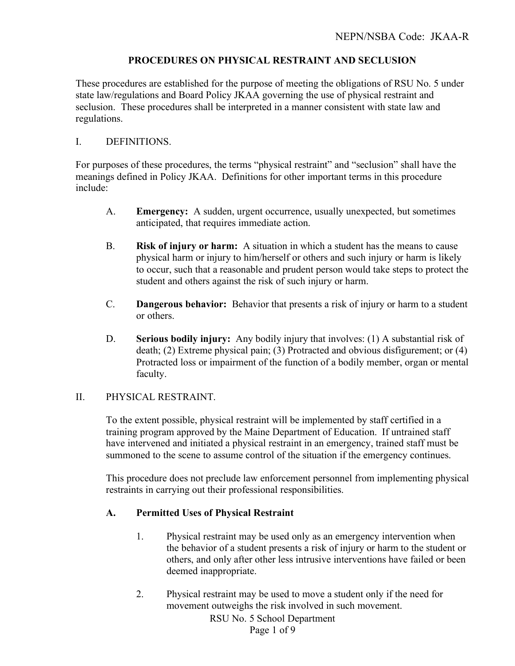## **PROCEDURES ON PHYSICAL RESTRAINT AND SECLUSION**

These procedures are established for the purpose of meeting the obligations of RSU No. 5 under state law/regulations and Board Policy JKAA governing the use of physical restraint and seclusion. These procedures shall be interpreted in a manner consistent with state law and regulations.

#### I. DEFINITIONS.

For purposes of these procedures, the terms "physical restraint" and "seclusion" shall have the meanings defined in Policy JKAA. Definitions for other important terms in this procedure include:

- A. **Emergency:** A sudden, urgent occurrence, usually unexpected, but sometimes anticipated, that requires immediate action.
- B. **Risk of injury or harm:** A situation in which a student has the means to cause physical harm or injury to him/herself or others and such injury or harm is likely to occur, such that a reasonable and prudent person would take steps to protect the student and others against the risk of such injury or harm.
- C. **Dangerous behavior:** Behavior that presents a risk of injury or harm to a student or others.
- D. **Serious bodily injury:** Any bodily injury that involves: (1) A substantial risk of death; (2) Extreme physical pain; (3) Protracted and obvious disfigurement; or (4) Protracted loss or impairment of the function of a bodily member, organ or mental faculty.

#### II. PHYSICAL RESTRAINT.

To the extent possible, physical restraint will be implemented by staff certified in a training program approved by the Maine Department of Education. If untrained staff have intervened and initiated a physical restraint in an emergency, trained staff must be summoned to the scene to assume control of the situation if the emergency continues.

This procedure does not preclude law enforcement personnel from implementing physical restraints in carrying out their professional responsibilities.

## **A. Permitted Uses of Physical Restraint**

- 1. Physical restraint may be used only as an emergency intervention when the behavior of a student presents a risk of injury or harm to the student or others, and only after other less intrusive interventions have failed or been deemed inappropriate.
- 2. Physical restraint may be used to move a student only if the need for movement outweighs the risk involved in such movement.

RSU No. 5 School Department Page 1 of 9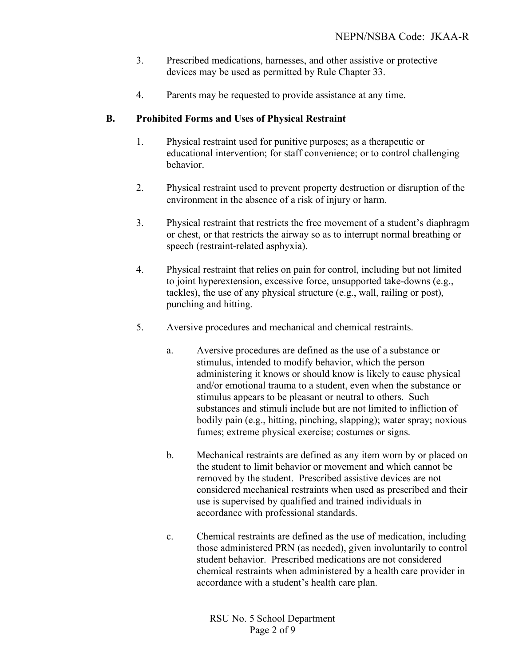- 3. Prescribed medications, harnesses, and other assistive or protective devices may be used as permitted by Rule Chapter 33.
- 4. Parents may be requested to provide assistance at any time.

# **B. Prohibited Forms and Uses of Physical Restraint**

- 1. Physical restraint used for punitive purposes; as a therapeutic or educational intervention; for staff convenience; or to control challenging behavior.
- 2. Physical restraint used to prevent property destruction or disruption of the environment in the absence of a risk of injury or harm.
- 3. Physical restraint that restricts the free movement of a student's diaphragm or chest, or that restricts the airway so as to interrupt normal breathing or speech (restraint-related asphyxia).
- 4. Physical restraint that relies on pain for control, including but not limited to joint hyperextension, excessive force, unsupported take-downs (e.g., tackles), the use of any physical structure (e.g., wall, railing or post), punching and hitting.
- 5. Aversive procedures and mechanical and chemical restraints.
	- a. Aversive procedures are defined as the use of a substance or stimulus, intended to modify behavior, which the person administering it knows or should know is likely to cause physical and/or emotional trauma to a student, even when the substance or stimulus appears to be pleasant or neutral to others. Such substances and stimuli include but are not limited to infliction of bodily pain (e.g., hitting, pinching, slapping); water spray; noxious fumes; extreme physical exercise; costumes or signs.
	- b. Mechanical restraints are defined as any item worn by or placed on the student to limit behavior or movement and which cannot be removed by the student. Prescribed assistive devices are not considered mechanical restraints when used as prescribed and their use is supervised by qualified and trained individuals in accordance with professional standards.
	- c. Chemical restraints are defined as the use of medication, including those administered PRN (as needed), given involuntarily to control student behavior. Prescribed medications are not considered chemical restraints when administered by a health care provider in accordance with a student's health care plan.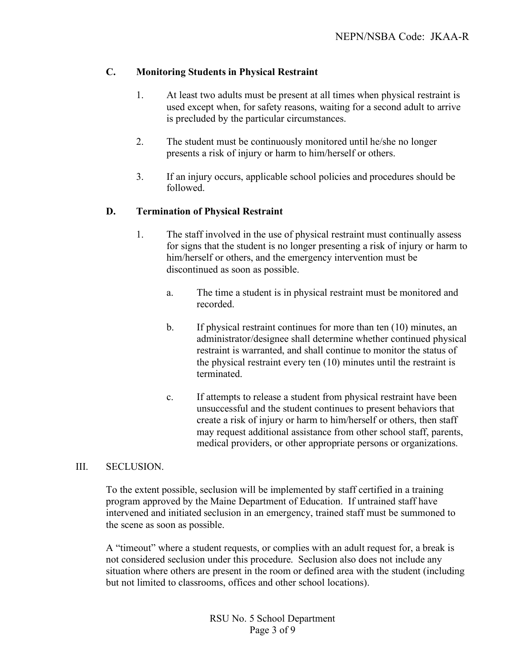# **C. Monitoring Students in Physical Restraint**

- 1. At least two adults must be present at all times when physical restraint is used except when, for safety reasons, waiting for a second adult to arrive is precluded by the particular circumstances.
- 2. The student must be continuously monitored until he/she no longer presents a risk of injury or harm to him/herself or others.
- 3. If an injury occurs, applicable school policies and procedures should be followed.

## **D. Termination of Physical Restraint**

- 1. The staff involved in the use of physical restraint must continually assess for signs that the student is no longer presenting a risk of injury or harm to him/herself or others, and the emergency intervention must be discontinued as soon as possible.
	- a. The time a student is in physical restraint must be monitored and recorded.
	- b. If physical restraint continues for more than ten (10) minutes, an administrator/designee shall determine whether continued physical restraint is warranted, and shall continue to monitor the status of the physical restraint every ten (10) minutes until the restraint is terminated.
	- c. If attempts to release a student from physical restraint have been unsuccessful and the student continues to present behaviors that create a risk of injury or harm to him/herself or others, then staff may request additional assistance from other school staff, parents, medical providers, or other appropriate persons or organizations.

## III. SECLUSION.

To the extent possible, seclusion will be implemented by staff certified in a training program approved by the Maine Department of Education. If untrained staff have intervened and initiated seclusion in an emergency, trained staff must be summoned to the scene as soon as possible.

A "timeout" where a student requests, or complies with an adult request for, a break is not considered seclusion under this procedure. Seclusion also does not include any situation where others are present in the room or defined area with the student (including but not limited to classrooms, offices and other school locations).

> RSU No. 5 School Department Page 3 of 9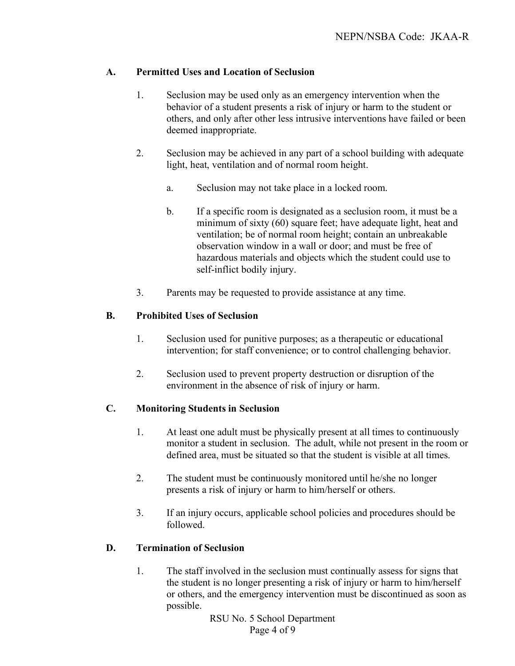# **A. Permitted Uses and Location of Seclusion**

- 1. Seclusion may be used only as an emergency intervention when the behavior of a student presents a risk of injury or harm to the student or others, and only after other less intrusive interventions have failed or been deemed inappropriate.
- 2. Seclusion may be achieved in any part of a school building with adequate light, heat, ventilation and of normal room height.
	- a. Seclusion may not take place in a locked room.
	- b. If a specific room is designated as a seclusion room, it must be a minimum of sixty (60) square feet; have adequate light, heat and ventilation; be of normal room height; contain an unbreakable observation window in a wall or door; and must be free of hazardous materials and objects which the student could use to self-inflict bodily injury.
- 3. Parents may be requested to provide assistance at any time.

# **B. Prohibited Uses of Seclusion**

- 1. Seclusion used for punitive purposes; as a therapeutic or educational intervention; for staff convenience; or to control challenging behavior.
- 2. Seclusion used to prevent property destruction or disruption of the environment in the absence of risk of injury or harm.

# **C. Monitoring Students in Seclusion**

- 1. At least one adult must be physically present at all times to continuously monitor a student in seclusion. The adult, while not present in the room or defined area, must be situated so that the student is visible at all times.
- 2. The student must be continuously monitored until he/she no longer presents a risk of injury or harm to him/herself or others.
- 3. If an injury occurs, applicable school policies and procedures should be followed.

# **D. Termination of Seclusion**

1. The staff involved in the seclusion must continually assess for signs that the student is no longer presenting a risk of injury or harm to him/herself or others, and the emergency intervention must be discontinued as soon as possible.

> RSU No. 5 School Department Page 4 of 9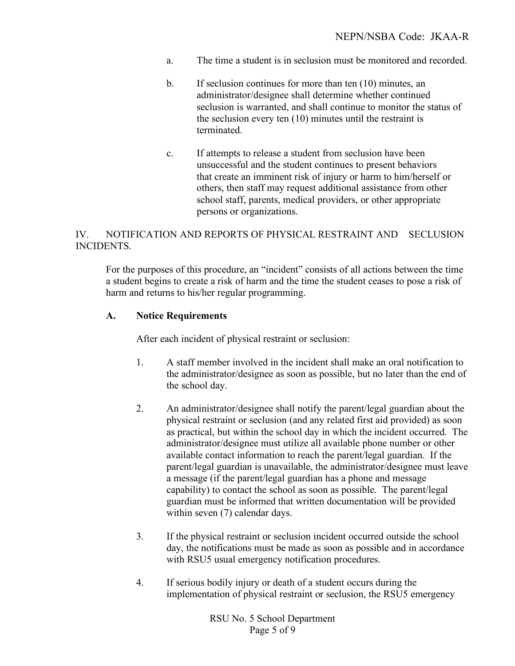- a. The time a student is in seclusion must be monitored and recorded.
- b. If seclusion continues for more than ten (10) minutes, an administrator/designee shall determine whether continued seclusion is warranted, and shall continue to monitor the status of the seclusion every ten (10) minutes until the restraint is terminated.
- c. If attempts to release a student from seclusion have been unsuccessful and the student continues to present behaviors that create an imminent risk of injury or harm to him/herself or others, then staff may request additional assistance from other school staff, parents, medical providers, or other appropriate persons or organizations.

## IV. NOTIFICATION AND REPORTS OF PHYSICAL RESTRAINT AND SECLUSION INCIDENTS.

For the purposes of this procedure, an "incident" consists of all actions between the time a student begins to create a risk of harm and the time the student ceases to pose a risk of harm and returns to his/her regular programming.

#### **A. Notice Requirements**

After each incident of physical restraint or seclusion:

- 1. A staff member involved in the incident shall make an oral notification to the administrator/designee as soon as possible, but no later than the end of the school day.
- 2. An administrator/designee shall notify the parent/legal guardian about the physical restraint or seclusion (and any related first aid provided) as soon as practical, but within the school day in which the incident occurred. The administrator/designee must utilize all available phone number or other available contact information to reach the parent/legal guardian. If the parent/legal guardian is unavailable, the administrator/designee must leave a message (if the parent/legal guardian has a phone and message capability) to contact the school as soon as possible. The parent/legal guardian must be informed that written documentation will be provided within seven (7) calendar days.
- 3. If the physical restraint or seclusion incident occurred outside the school day, the notifications must be made as soon as possible and in accordance with RSU5 usual emergency notification procedures.
- 4. If serious bodily injury or death of a student occurs during the implementation of physical restraint or seclusion, the RSU5 emergency

RSU No. 5 School Department Page 5 of 9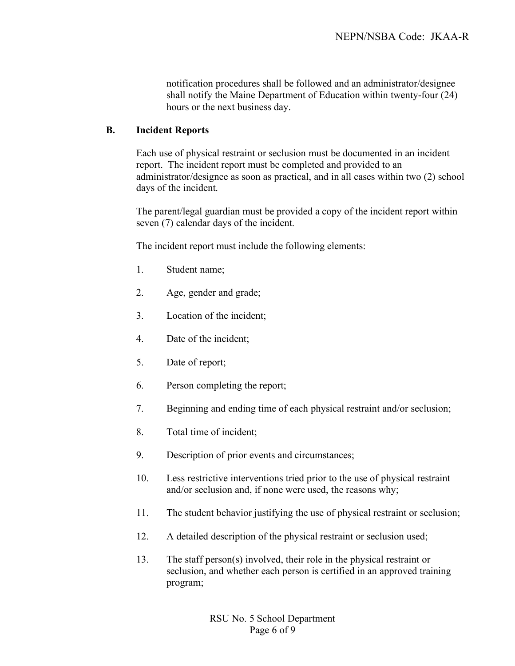notification procedures shall be followed and an administrator/designee shall notify the Maine Department of Education within twenty-four (24) hours or the next business day.

#### **B. Incident Reports**

Each use of physical restraint or seclusion must be documented in an incident report. The incident report must be completed and provided to an administrator/designee as soon as practical, and in all cases within two (2) school days of the incident.

The parent/legal guardian must be provided a copy of the incident report within seven (7) calendar days of the incident.

The incident report must include the following elements:

- 1. Student name;
- 2. Age, gender and grade;
- 3. Location of the incident;
- 4. Date of the incident;
- 5. Date of report;
- 6. Person completing the report;
- 7. Beginning and ending time of each physical restraint and/or seclusion;
- 8. Total time of incident;
- 9. Description of prior events and circumstances;
- 10. Less restrictive interventions tried prior to the use of physical restraint and/or seclusion and, if none were used, the reasons why;
- 11. The student behavior justifying the use of physical restraint or seclusion;
- 12. A detailed description of the physical restraint or seclusion used;
- 13. The staff person(s) involved, their role in the physical restraint or seclusion, and whether each person is certified in an approved training program;

RSU No. 5 School Department Page 6 of 9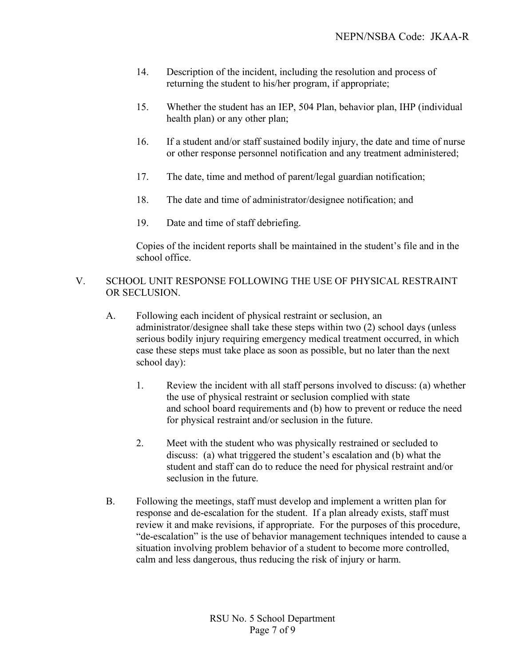- 14. Description of the incident, including the resolution and process of returning the student to his/her program, if appropriate;
- 15. Whether the student has an IEP, 504 Plan, behavior plan, IHP (individual health plan) or any other plan;
- 16. If a student and/or staff sustained bodily injury, the date and time of nurse or other response personnel notification and any treatment administered;
- 17. The date, time and method of parent/legal guardian notification;
- 18. The date and time of administrator/designee notification; and
- 19. Date and time of staff debriefing.

Copies of the incident reports shall be maintained in the student's file and in the school office.

## V. SCHOOL UNIT RESPONSE FOLLOWING THE USE OF PHYSICAL RESTRAINT OR SECLUSION.

- A. Following each incident of physical restraint or seclusion, an administrator/designee shall take these steps within two (2) school days (unless serious bodily injury requiring emergency medical treatment occurred, in which case these steps must take place as soon as possible, but no later than the next school day):
	- 1. Review the incident with all staff persons involved to discuss: (a) whether the use of physical restraint or seclusion complied with state and school board requirements and (b) how to prevent or reduce the need for physical restraint and/or seclusion in the future.
	- 2. Meet with the student who was physically restrained or secluded to discuss: (a) what triggered the student's escalation and (b) what the student and staff can do to reduce the need for physical restraint and/or seclusion in the future.
- B. Following the meetings, staff must develop and implement a written plan for response and de-escalation for the student. If a plan already exists, staff must review it and make revisions, if appropriate. For the purposes of this procedure, "de-escalation" is the use of behavior management techniques intended to cause a situation involving problem behavior of a student to become more controlled, calm and less dangerous, thus reducing the risk of injury or harm.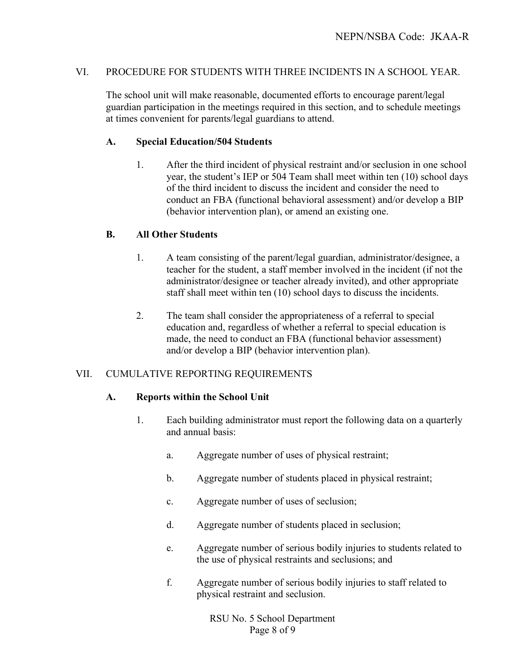## VI. PROCEDURE FOR STUDENTS WITH THREE INCIDENTS IN A SCHOOL YEAR.

The school unit will make reasonable, documented efforts to encourage parent/legal guardian participation in the meetings required in this section, and to schedule meetings at times convenient for parents/legal guardians to attend.

#### **A. Special Education/504 Students**

1. After the third incident of physical restraint and/or seclusion in one school year, the student's IEP or 504 Team shall meet within ten (10) school days of the third incident to discuss the incident and consider the need to conduct an FBA (functional behavioral assessment) and/or develop a BIP (behavior intervention plan), or amend an existing one.

#### **B. All Other Students**

- 1. A team consisting of the parent/legal guardian, administrator/designee, a teacher for the student, a staff member involved in the incident (if not the administrator/designee or teacher already invited), and other appropriate staff shall meet within ten (10) school days to discuss the incidents.
- 2. The team shall consider the appropriateness of a referral to special education and, regardless of whether a referral to special education is made, the need to conduct an FBA (functional behavior assessment) and/or develop a BIP (behavior intervention plan).

## VII. CUMULATIVE REPORTING REQUIREMENTS

#### **A. Reports within the School Unit**

- 1. Each building administrator must report the following data on a quarterly and annual basis:
	- a. Aggregate number of uses of physical restraint;
	- b. Aggregate number of students placed in physical restraint;
	- c. Aggregate number of uses of seclusion;
	- d. Aggregate number of students placed in seclusion;
	- e. Aggregate number of serious bodily injuries to students related to the use of physical restraints and seclusions; and
	- f. Aggregate number of serious bodily injuries to staff related to physical restraint and seclusion.

RSU No. 5 School Department Page 8 of 9